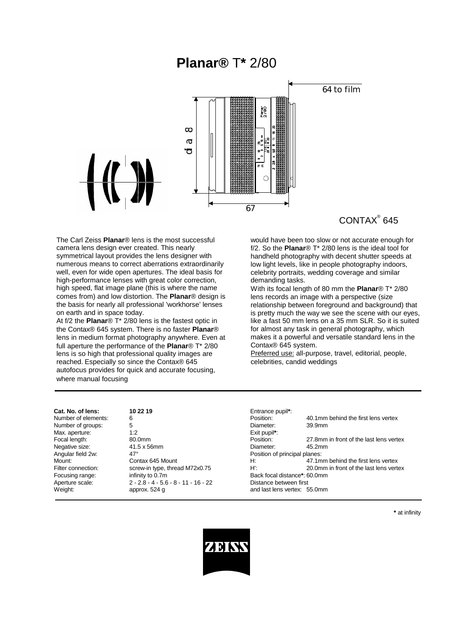# **Planar®** T**\*** 2/80



## CONTAX® 645

The Carl Zeiss **Planar**® lens is the most successful camera lens design ever created. This nearly symmetrical layout provides the lens designer with numerous means to correct aberrations extraordinarily well, even for wide open apertures. The ideal basis for high-performance lenses with great color correction. high speed, flat image plane (this is where the name comes from) and low distortion. The **Planar**® design is the basis for nearly all professional 'workhorse' lenses on earth and in space today.

At f/2 the **Planar**® T\* 2/80 lens is the fastest optic in the Contax® 645 system. There is no faster **Planar**® lens in medium format photography anywhere. Even at full aperture the performance of the **Planar**® T\* 2/80 lens is so high that professional quality images are reached. Especially so since the Contax® 645 autofocus provides for quick and accurate focusing, where manual focusing

would have been too slow or not accurate enough for f/2. So the **Planar**® T\* 2/80 lens is the ideal tool for handheld photography with decent shutter speeds at low light levels, like in people photography indoors, celebrity portraits, wedding coverage and similar demanding tasks.

With its focal length of 80 mm the **Planar**® T\* 2/80 lens records an image with a perspective (size relationship between foreground and background) that is pretty much the way we see the scene with our eyes, like a fast 50 mm lens on a 35 mm SLR. So it is suited for almost any task in general photography, which makes it a powerful and versatile standard lens in the Contax® 645 system.

Preferred use: all-purpose, travel, editorial, people, celebrities, candid weddings

| Cat. No. of lens:   | 10 22 19                               | Entrance pupil*:  |
|---------------------|----------------------------------------|-------------------|
| Number of elements: | 6                                      | Position:         |
| Number of groups:   | 5                                      | Diameter:         |
| Max. aperture:      | 1:2                                    | Exit pupil*:      |
| Focal length:       | 80.0mm                                 | Position:         |
| Negative size:      | 41.5 x 56mm                            | Diameter:         |
| Angular field 2w:   | $47^\circ$                             | Position of princ |
| Mount:              | Contax 645 Mount                       | H:                |
| Filter connection:  | screw-in type, thread M72x0.75         | $H^{\prime}$ :    |
| Focusing range:     | infinity to 0.7m                       | Back focal dista  |
| Aperture scale:     | $2 - 2.8 - 4 - 5.6 - 8 - 11 - 16 - 22$ | Distance betwee   |
| $M$ eight:          | annrox $524$ $\alpha$                  | and last lens yer |

| Cat. No. of lens:   | 10 22 19                               | Entrance pupil*:             |                                         |  |
|---------------------|----------------------------------------|------------------------------|-----------------------------------------|--|
| Number of elements: | 6                                      | Position:                    | 40.1mm behind the first lens vertex     |  |
| Number of groups:   | 5                                      | Diameter:                    | 39.9mm                                  |  |
| Max. aperture:      | 1:2                                    | Exit pupil <sup>*</sup> :    |                                         |  |
| Focal length:       | 80.0mm                                 | Position:                    | 27.8mm in front of the last lens vertex |  |
| Negative size:      | 41.5 x 56mm                            | Diameter:                    | 45.2mm                                  |  |
| Angular field 2w:   | $47^\circ$                             |                              | Position of principal planes:           |  |
| Mount:              | Contax 645 Mount                       | H:                           | 47.1mm behind the first lens vertex     |  |
| Filter connection:  | screw-in type, thread M72x0.75         | H':                          | 20.0mm in front of the last lens vertex |  |
| Focusing range:     | infinity to 0.7m                       | Back focal distance*: 60.0mm |                                         |  |
| Aperture scale:     | $2 - 2.8 - 4 - 5.6 - 8 - 11 - 16 - 22$ | Distance between first       |                                         |  |
| Weight:             | approx. 524 g                          | and last lens vertex: 55.0mm |                                         |  |

**\*** at infinity